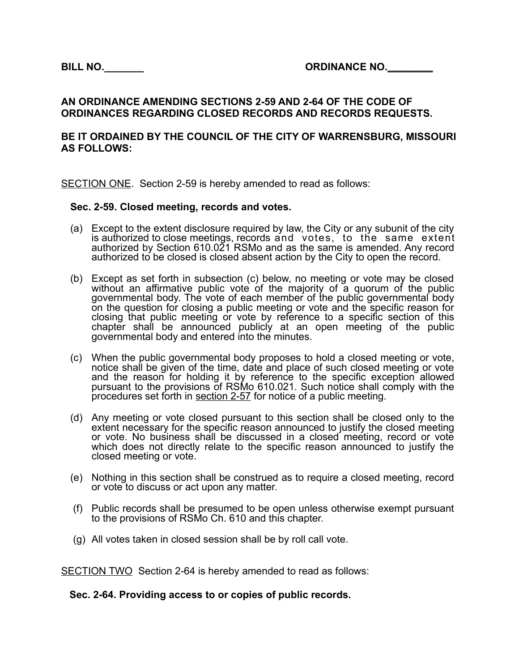## **AN ORDINANCE AMENDING SECTIONS 2-59 AND 2-64 OF THE CODE OF ORDINANCES REGARDING CLOSED RECORDS AND RECORDS REQUESTS.**

## **BE IT ORDAINED BY THE COUNCIL OF THE CITY OF WARRENSBURG, MISSOURI AS FOLLOWS:**

SECTION ONE. Section 2-59 is hereby amended to read as follows:

## **Sec. 2-59. Closed meeting, records and votes.**

- (a) Except to the extent disclosure required by law, the City or any subunit of the city is authorized to close meetings, records and votes, to the same extent authorized by Section 610.021 RSMo and as the same is amended. Any record authorized to be closed is closed absent action by the City to open the record.
- (b) Except as set forth in subsection (c) below, no meeting or vote may be closed without an affirmative public vote of the majority of a quorum of the public governmental body. The vote of each member of the public governmental body on the question for closing a public meeting or vote and the specific reason for closing that public meeting or vote by reference to a specific section of this chapter shall be announced publicly at an open meeting of the public governmental body and entered into the minutes.
- (c) When the public governmental body proposes to hold a closed meeting or vote, notice shall be given of the time, date and place of such closed meeting or vote and the reason for holding it by reference to the specific exception allowed pursuant to the provisions of RSMo 610.021. Such notice shall comply with the procedures set forth in section 2-57 for notice of a public meeting.
- (d) Any meeting or vote closed pursuant to this section shall be closed only to the extent necessary for the specific reason announced to justify the closed meeting or vote. No business shall be discussed in a closed meeting, record or vote which does not directly relate to the specific reason announced to justify the closed meeting or vote.
- (e) Nothing in this section shall be construed as to require a closed meeting, record or vote to discuss or act upon any matter.
- (f) Public records shall be presumed to be open unless otherwise exempt pursuant to the provisions of RSMo Ch. 610 and this chapter.
- (g) All votes taken in closed session shall be by roll call vote.

SECTION TWO Section 2-64 is hereby amended to read as follows:

## **Sec. 2-64. Providing access to or copies of public records.**